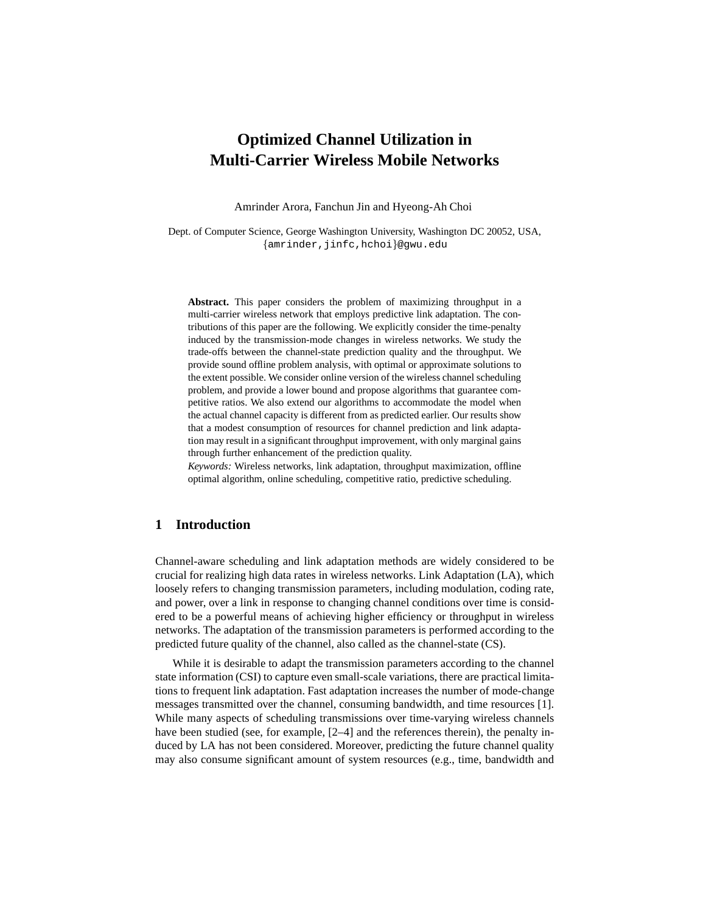# **Optimized Channel Utilization in Multi-Carrier Wireless Mobile Networks**

Amrinder Arora, Fanchun Jin and Hyeong-Ah Choi

Dept. of Computer Science, George Washington University, Washington DC 20052, USA, <sup>f</sup>amrinder,jinfc,hchoig@gwu.edu

**Abstract.** This paper considers the problem of maximizing throughput in a multi-carrier wireless network that employs predictive link adaptation. The contributions of this paper are the following. We explicitly consider the time-penalty induced by the transmission-mode changes in wireless networks. We study the trade-offs between the channel-state prediction quality and the throughput. We provide sound offline problem analysis, with optimal or approximate solutions to the extent possible. We consider online version of the wireless channel scheduling problem, and provide a lower bound and propose algorithms that guarantee competitive ratios. We also extend our algorithms to accommodate the model when the actual channel capacity is different from as predicted earlier. Our results show that a modest consumption of resources for channel prediction and link adaptation may result in a significant throughput improvement, with only marginal gains through further enhancement of the prediction quality.

*Keywords:* Wireless networks, link adaptation, throughput maximization, offline optimal algorithm, online scheduling, competitive ratio, predictive scheduling.

# **1 Introduction**

Channel-aware scheduling and link adaptation methods are widely considered to be crucial for realizing high data rates in wireless networks. Link Adaptation (LA), which loosely refers to changing transmission parameters, including modulation, coding rate, and power, over a link in response to changing channel conditions over time is considered to be a powerful means of achieving higher efficiency or throughput in wireless networks. The adaptation of the transmission parameters is performed according to the predicted future quality of the channel, also called as the channel-state (CS).

While it is desirable to adapt the transmission parameters according to the channel state information (CSI) to capture even small-scale variations, there are practical limitations to frequent link adaptation. Fast adaptation increases the number of mode-change messages transmitted over the channel, consuming bandwidth, and time resources [1]. While many aspects of scheduling transmissions over time-varying wireless channels have been studied (see, for example,  $[2-4]$  and the references therein), the penalty induced by LA has not been considered. Moreover, predicting the future channel quality may also consume significant amount of system resources (e.g., time, bandwidth and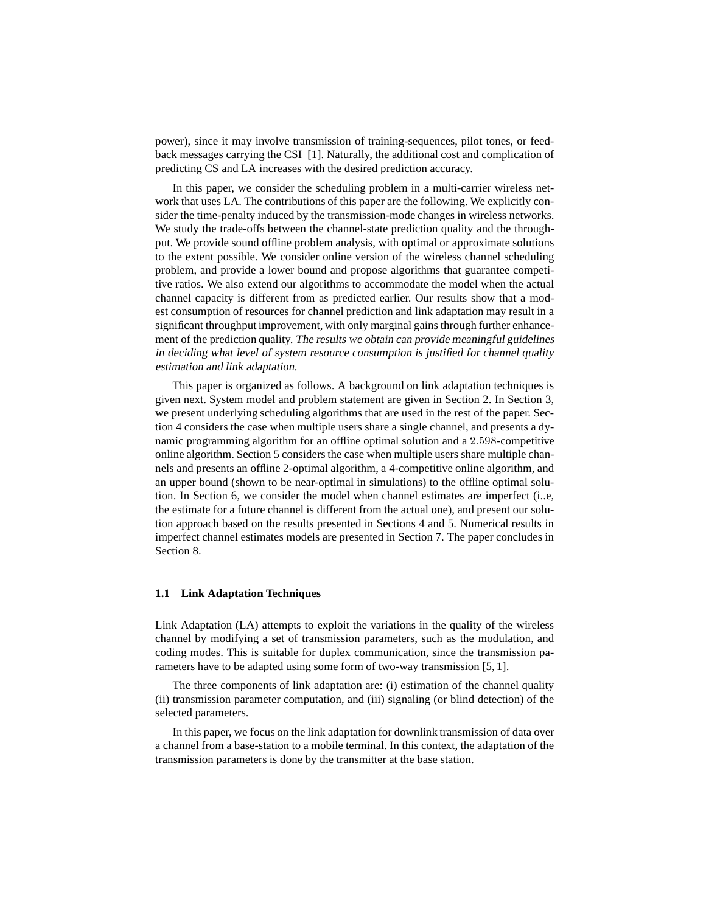power), since it may involve transmission of training-sequences, pilot tones, or feedback messages carrying the CSI [1]. Naturally, the additional cost and complication of predicting CS and LA increases with the desired prediction accuracy.

In this paper, we consider the scheduling problem in a multi-carrier wireless network that uses LA. The contributions of this paper are the following. We explicitly consider the time-penalty induced by the transmission-mode changes in wireless networks. We study the trade-offs between the channel-state prediction quality and the throughput. We provide sound offline problem analysis, with optimal or approximate solutions to the extent possible. We consider online version of the wireless channel scheduling problem, and provide a lower bound and propose algorithms that guarantee competitive ratios. We also extend our algorithms to accommodate the model when the actual channel capacity is different from as predicted earlier. Our results show that a modest consumption of resources for channel prediction and link adaptation may result in a significant throughput improvement, with only marginal gains through further enhancement of the prediction quality. The results we obtain can provide meaningful guidelines in deciding what level of system resource consumption is justified for channel quality estimation and link adaptation.

This paper is organized as follows. A background on link adaptation techniques is given next. System model and problem statement are given in Section 2. In Section 3, we present underlying scheduling algorithms that are used in the rest of the paper. Section 4 considers the case when multiple users share a single channel, and presents a dynamic programming algorithm for an offline optimal solution and a 2:598-competitive online algorithm. Section 5 considers the case when multiple users share multiple channels and presents an offline 2-optimal algorithm, a 4-competitive online algorithm, and an upper bound (shown to be near-optimal in simulations) to the offline optimal solution. In Section 6, we consider the model when channel estimates are imperfect (i..e, the estimate for a future channel is different from the actual one), and present our solution approach based on the results presented in Sections 4 and 5. Numerical results in imperfect channel estimates models are presented in Section 7. The paper concludes in Section 8.

#### **1.1 Link Adaptation Techniques**

Link Adaptation (LA) attempts to exploit the variations in the quality of the wireless channel by modifying a set of transmission parameters, such as the modulation, and coding modes. This is suitable for duplex communication, since the transmission parameters have to be adapted using some form of two-way transmission [5, 1].

The three components of link adaptation are: (i) estimation of the channel quality (ii) transmission parameter computation, and (iii) signaling (or blind detection) of the selected parameters.

In this paper, we focus on the link adaptation for downlink transmission of data over a channel from a base-station to a mobile terminal. In this context, the adaptation of the transmission parameters is done by the transmitter at the base station.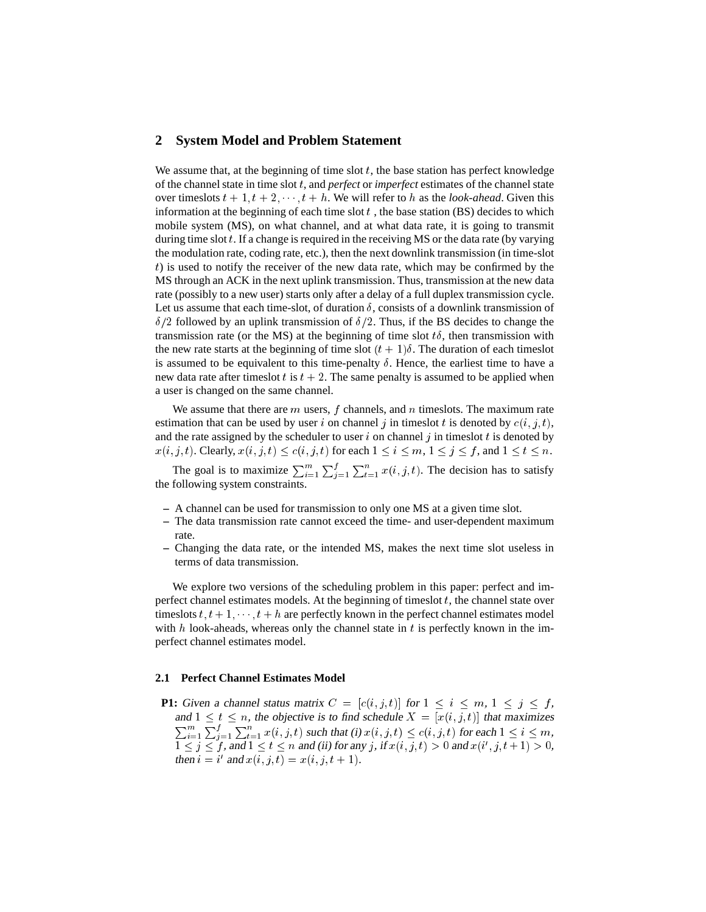# **2 System Model and Problem Statement**

We assume that, at the beginning of time slot  $t$ , the base station has perfect knowledge of the channel state in time slot <sup>t</sup>, and *perfect* or *imperfect* estimates of the channel state over timeslots  $t + 1$ ,  $t + 2$ ,  $\ldots$ ,  $t + h$ . We will refer to h as the *look-ahead*. Given this information at the beginning of each time slot  $t$ , the base station (BS) decides to which mobile system (MS), on what channel, and at what data rate, it is going to transmit during time slot  $t$ . If a change is required in the receiving MS or the data rate (by varying the modulation rate, coding rate, etc.), then the next downlink transmission (in time-slot  $t$ ) is used to notify the receiver of the new data rate, which may be confirmed by the MS through an ACK in the next uplink transmission. Thus, transmission at the new data rate (possibly to a new user) starts only after a delay of a full duplex transmission cycle. Let us assume that each time-slot, of duration  $\delta$ , consists of a downlink transmission of  $\delta/2$  followed by an uplink transmission of  $\delta/2$ . Thus, if the BS decides to change the transmission rate (or the MS) at the beginning of time slot  $t\delta$ , then transmission with the new rate starts at the beginning of time slot  $(t + 1)\delta$ . The duration of each timeslot is assumed to be equivalent to this time-penalty  $\delta$ . Hence, the earliest time to have a new data rate after timeslot t is  $t + 2$ . The same penalty is assumed to be applied when a user is changed on the same channel.

We assume that there are  $m$  users,  $f$  channels, and  $n$  timeslots. The maximum rate estimation that can be used by user i on channel j in timeslot t is denoted by  $c(i, j, t)$ , and the rate assigned by the scheduler to user  $i$  on channel  $j$  in timeslot  $t$  is denoted by  $x(i, j, t)$ . Clearly,  $x(i, j, t) \le c(i, j, t)$  for each  $1 \le i \le m$ ,  $1 \le j \le f$ , and  $1 \le t \le n$ .

The goal is to maximize  $\sum_{i=1}^{m}$  $\lnot$ j=1  $\sum_{t=1}^{n} x(i, j, t)$ . The decision has to satisfy the following system constraints.

- **–** A channel can be used for transmission to only one MS at a given time slot.
- **–** The data transmission rate cannot exceed the time- and user-dependent maximum rate.
- **–** Changing the data rate, or the intended MS, makes the next time slot useless in terms of data transmission.

We explore two versions of the scheduling problem in this paper: perfect and imperfect channel estimates models. At the beginning of timeslot <sup>t</sup>, the channel state over timeslots  $t, t + 1, \dots, t + h$  are perfectly known in the perfect channel estimates model with h look-aheads, whereas only the channel state in t is perfectly known in the imperfect channel estimates model.

#### **2.1 Perfect Channel Estimates Model**

**P1:** Given a channel status matrix  $C = [c(i, j, t)]$  for  $1 \le i \le m, 1 \le j \le f$ , and  $1 \le t \le n$ , the objective is to find schedule  $X = [x(i, j, t)]$  that maximizes  $\rightarrow$ m  $\sqrt{ }$ j=1  $\sum_{t=1}^{n} x(i, j, t)$  such that (i)  $x(i, j, t) \leq c(i, j, t)$  for each  $1 \leq i \leq m$ ,  $1 \leq j \leq f$ , and  $1 \leq t \leq n$  and (ii) for any j, if  $x(i, j, t) > 0$  and  $x(i', j, t + 1) > 0$ , then  $i = i'$  and  $x(i, j, t) = x(i, j, t + 1)$ .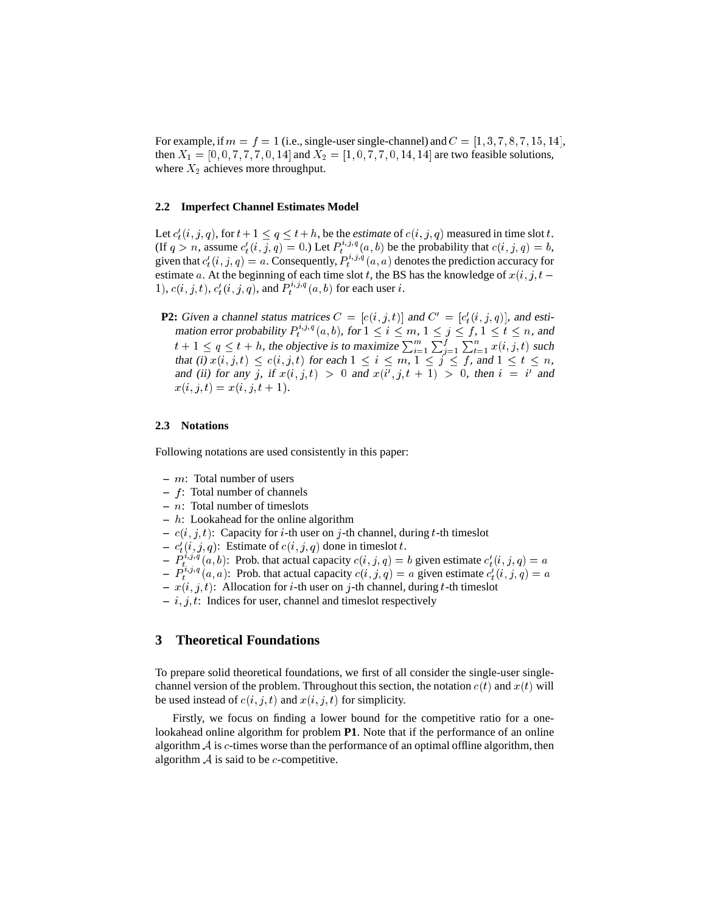For example, if  $m = f = 1$  (i.e., single-user single-channel) and  $C = \begin{bmatrix} 1, 3, 7, 8, 7, 15, 14 \end{bmatrix}$ then  $X_1 = [0, 0, 7, 7, 7, 0, 14]$  and  $X_2 = [1, 0, 7, 7, 0, 14, 14]$  are two feasible solutions, where  $X_2$  achieves more throughput.

#### **2.2 Imperfect Channel Estimates Model**

Let  $c'_t(i, j, q)$ , for  $t+1 \le q \le t+h$ , be the *estimate* of  $c(i, j, q)$  measured in time slot t. (If  $q > n$ , assume  $c'_{t}(i, j, q) = 0$ .) Let  $P_{t}^{i,j,q}(a, b)$  be the probability that  $c(i, j, q) = b$ , given that  $c'_t(i, j, q) = a$ . Consequently,  $P_t^{i, j, q}(a, a)$  denotes the prediction accuracy for estimate a. At the beginning of each time slot t, the BS has the knowledge of  $x(i, j, t -$ 1),  $c(i, j, t)$ ,  $c'_{t}(i, j, q)$ , and  $P_{t}^{i, j, q}(a, b)$  for each user i.

**P2:** Given a channel status matrices  $C = [c(i, j, t)]$  and  $C' = [c'_{t}(i, j, q)]$ , and estimation error probability  $P_t^{i,j,q}(a,b)$ , for  $1 \le i \le m$ ,  $1 \le j \le f$ ,  $1 \le t \le n$ , and  $t+1 \leq q \leq t+h$ , the objective is to maximize  $\sum_{i=1}^{m} \sum_{j=1}^{J} \sum_{t=1}^{n} x(i, j, t)$  such that (i)  $x(i, j, t) \le c(i, j, t)$  for each  $1 \le i \le m, 1 \le j \le f$ , and  $1 \le t \le n$ , and (ii) for any j, if  $x(i, j, t) > 0$  and  $x(i', j, t + 1) > 0$ , then  $i = i'$  and  $x(i, j, t) = x(i, j, t + 1).$ 

#### **2.3 Notations**

Following notations are used consistently in this paper:

- **–** <sup>m</sup>: Total number of users
- $f$ : Total number of channels
- **–** <sup>n</sup>: Total number of timeslots
- **–** h: Lookahead for the online algorithm
- $c(i, j, t)$ : Capacity for *i*-th user on *j*-th channel, during *t*-th times lot
- $-c'_{t}(i, j, q)$ : Estimate of  $c(i, j, q)$  done in timeslot t.
- $P_t^{i,j,q}(a, b)$ : Prob. that actual capacity  $c(i, j, q) = b$  given estimate  $c'_t(i, j, q) = a$
- $P_t^{i,j,q}(a,a)$ : Prob. that actual capacity  $c(i, j, q) = a$  given estimate  $c'_t(i, j, q) = a$
- $x(i, j, t)$ : Allocation for *i*-th user on *j*-th channel, during *t*-th timeslot
- $i, j, t$ : Indices for user, channel and timeslot respectively

# **3 Theoretical Foundations**

To prepare solid theoretical foundations, we first of all consider the single-user singlechannel version of the problem. Throughout this section, the notation  $c(t)$  and  $x(t)$  will be used instead of  $c(i, j, t)$  and  $x(i, j, t)$  for simplicity.

Firstly, we focus on finding a lower bound for the competitive ratio for a onelookahead online algorithm for problem **P1**. Note that if the performance of an online algorithm  $A$  is  $c$ -times worse than the performance of an optimal offline algorithm, then algorithm  $A$  is said to be *c*-competitive.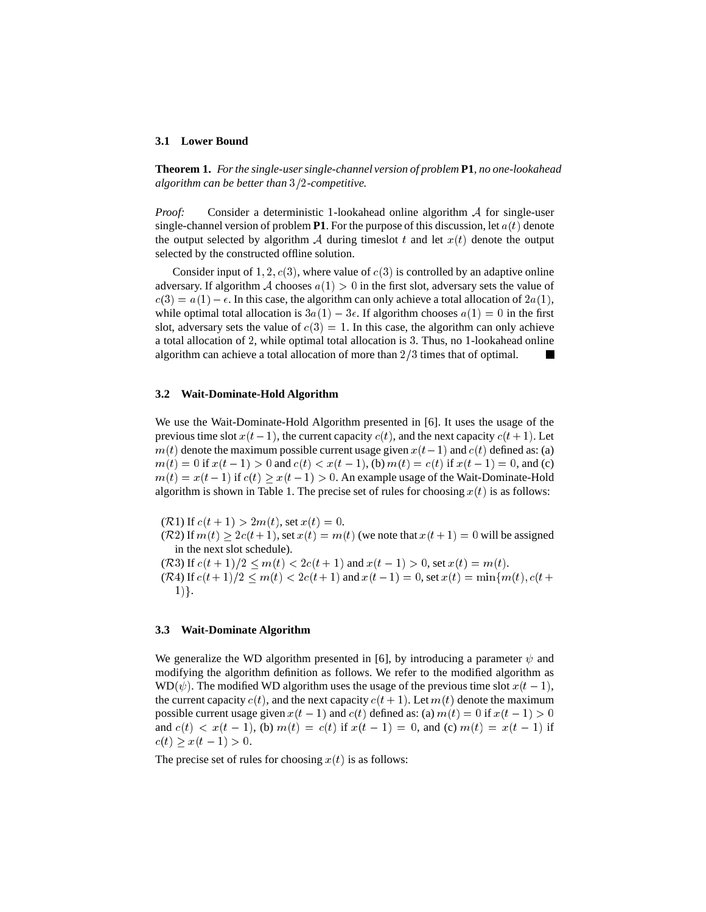#### **3.1 Lower Bound**

**Theorem 1.** *For the single-user single-channel version of problem* **P1***, no one-lookahead algorithm can be better than*  $3/2$ *-competitive.* 

*Proof:* Consider a deterministic 1-lookahead online algorithm A for single-user single-channel version of problem **P1**. For the purpose of this discussion, let  $a(t)$  denote the output selected by algorithm A during timeslot t and let  $x(t)$  denote the output selected by the constructed offline solution.

Consider input of 1, 2,  $c(3)$ , where value of  $c(3)$  is controlled by an adaptive online adversary. If algorithm A chooses  $a(1) > 0$  in the first slot, adversary sets the value of  $c(3) = a(1) - \epsilon$ . In this case, the algorithm can only achieve a total allocation of  $2a(1)$ , while optimal total allocation is  $3a(1) - 3\epsilon$ . If algorithm chooses  $a(1) = 0$  in the first slot, adversary sets the value of  $c(3) = 1$ . In this case, the algorithm can only achieve a total allocation of <sup>2</sup>, while optimal total allocation is <sup>3</sup>. Thus, no <sup>1</sup>-lookahead online algorithm can achieve a total allocation of more than  $2/3$  times that of optimal.

#### **3.2 Wait-Dominate-Hold Algorithm**

We use the Wait-Dominate-Hold Algorithm presented in [6]. It uses the usage of the previous time slot  $x(t-1)$ , the current capacity  $c(t)$ , and the next capacity  $c(t+1)$ . Let  $m(t)$  denote the maximum possible current usage given  $x(t-1)$  and  $c(t)$  defined as: (a)  $m(t) = 0$  if  $x(t-1) > 0$  and  $c(t) < x(t-1)$ , (b)  $m(t) = c(t)$  if  $x(t-1) = 0$ , and (c)  $m(t) = x(t-1)$  if  $c(t) > x(t-1) > 0$ . An example usage of the Wait-Dominate-Hold algorithm is shown in Table 1. The precise set of rules for choosing  $x(t)$  is as follows:

 $(R1)$  If  $c(t + 1) > 2m(t)$ , set  $x(t) = 0$ .  $(\mathcal{R}2)$  If  $m(t) > 2c(t+1)$ , set  $x(t) = m(t)$  (we note that  $x(t+1) = 0$  will be assigned in the next slot schedule).  $(R3)$  If  $c(t + 1)/2 < m(t) < 2c(t + 1)$  and  $x(t - 1) > 0$ , set  $x(t) = m(t)$ .  $(R4)$  If  $c(t+1)/2 < m(t) < 2c(t+1)$  and  $x(t-1) = 0$ , set  $x(t) = \min\{m(t), c(t+1)\}$  $1)$ .

#### **3.3 Wait-Dominate Algorithm**

We generalize the WD algorithm presented in [6], by introducing a parameter  $\psi$  and modifying the algorithm definition as follows. We refer to the modified algorithm as  $WD(\psi)$ . The modified WD algorithm uses the usage of the previous time slot  $x(t-1)$ , the current capacity  $c(t)$ , and the next capacity  $c(t+1)$ . Let  $m(t)$  denote the maximum possible current usage given  $x(t-1)$  and  $c(t)$  defined as: (a)  $m(t) = 0$  if  $x(t-1) > 0$ and  $c(t) < x(t-1)$ , (b)  $m(t) = c(t)$  if  $x(t-1) = 0$ , and (c)  $m(t) = x(t-1)$  if  $c(t) \geq x(t - 1) > 0.$ 

The precise set of rules for choosing  $x(t)$  is as follows: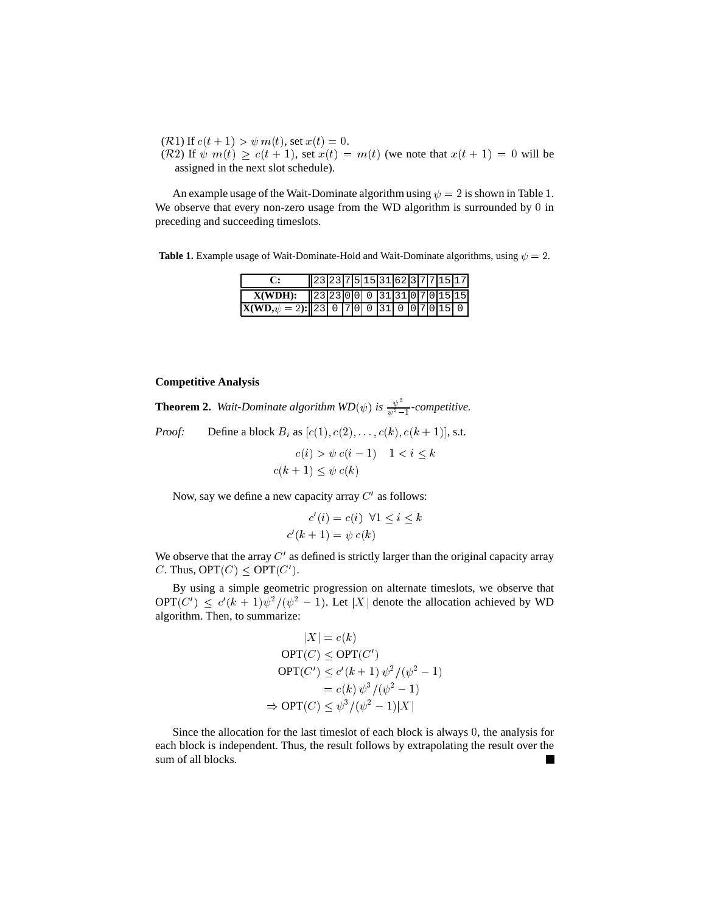$(R1)$  If  $c(t+1) > \psi$   $m(t)$ , set  $x(t) = 0$ . (R2) If  $\psi$   $m(t) \ge c(t + 1)$ , set  $x(t) = m(t)$  (we note that  $x(t + 1) = 0$  will be assigned in the next slot schedule).

An example usage of the Wait-Dominate algorithm using  $\psi = 2$  is shown in Table 1. We observe that every non-zero usage from the WD algorithm is surrounded by 0 in preceding and succeeding timeslots.

**Table 1.** Example usage of Wait-Dominate-Hold and Wait-Dominate algorithms, using  $\psi = 2$ .

|                                                                             | $\left  \frac{23}{23} \right  23   7   5   15   31   62   3   7   7   15   17 \right $ |  |  |  |  |  |  |
|-----------------------------------------------------------------------------|----------------------------------------------------------------------------------------|--|--|--|--|--|--|
| $X(WDH)$ :                                                                  | [2323000031310701515]                                                                  |  |  |  |  |  |  |
| $ \mathbf{X}(\mathbf{W}\mathbf{D}, \psi = 2) $ : 23 0 7 0 0 31 0 0 7 0 15 0 |                                                                                        |  |  |  |  |  |  |

#### **Competitive Analysis**

**Theorem 2.** *Wait-Dominate algorithm WD*( $\psi$ ) *is*  $\frac{\psi^{\circ}}{\psi^2-1}$ -competitive.

*Proof:* Define a block  $B_i$  as  $[c(1), c(2), \ldots, c(k), c(k+1)]$ , s.t.

$$
c(i) > \psi c(i-1) \quad 1 < i \le k
$$

$$
c(k+1) \le \psi c(k)
$$

Now, say we define a new capacity array  $C'$  as follows:

$$
c'(i) = c(i) \quad \forall 1 \le i \le k
$$

$$
c'(k+1) = \psi \ c(k)
$$

We observe that the array  $C'$  as defined is strictly larger than the original capacity array C. Thus,  $\text{OPT}(C) \leq \text{OPT}(C')$ .

By using a simple geometric progression on alternate timeslots, we observe that  $\text{OPT}(C') \leq c'(k+1)\psi^2/(\psi^2-1)$ . Let |X| denote the allocation achieved by WD algorithm. Then, to summarize:

$$
|X| = c(k)
$$
  
OPT(C)  $\leq$  OPT(C')  
OPT(C')  $\leq c'(k+1) \psi^2/(\psi^2 - 1)$   
= c(k)  $\psi^3/(\psi^2 - 1)$   
 $\Rightarrow$  OPT(C)  $\leq \psi^3/(\psi^2 - 1)|X|$ 

Since the allocation for the last timeslot of each block is always <sup>0</sup>, the analysis for each block is independent. Thus, the result follows by extrapolating the result over the sum of all blocks.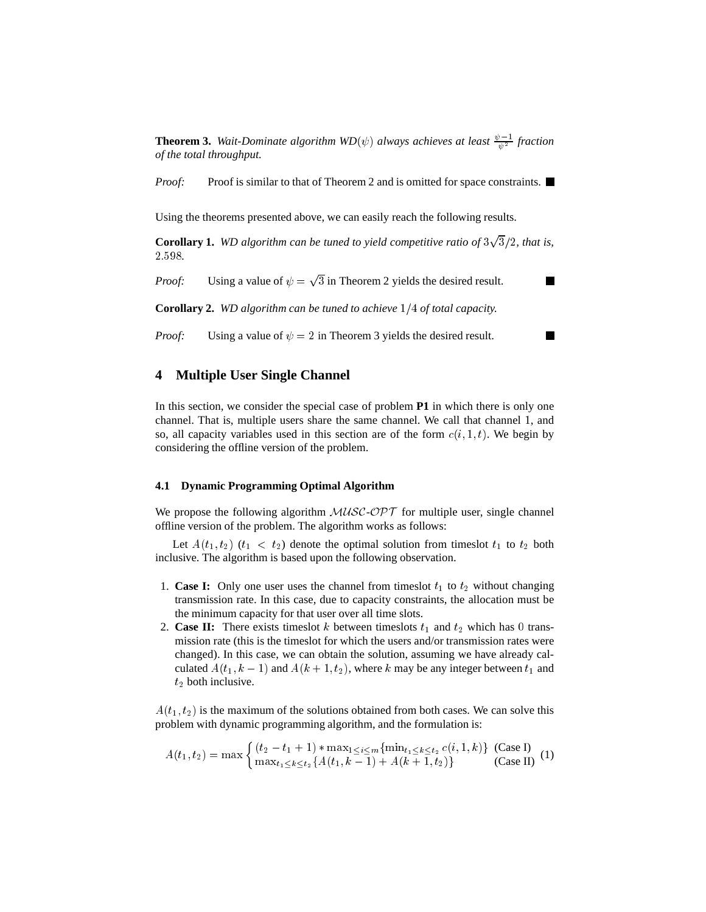**Theorem 3.** Wait-Dominate algorithm WD( $\psi$ ) always achieves at least  $\frac{\psi-1}{\psi^2}$  fraction *of the total throughput.*

*Proof:* Proof is similar to that of Theorem 2 and is omitted for space constraints.

Using the theorems presented above, we can easily reach the following results.

**Corollary 1.** WD algorithm can be tuned to yield competitive ratio of  $3\sqrt{3}/2$ , that is, 2:598*.*

*Proof:* Using a value of  $\psi = \sqrt{\frac{P}{P}}$ 3 in Theorem 2 yields the desired result.

**Corollary 2.** *WD algorithm can be tuned to achieve*  $1/4$  *of total capacity.* 

*Proof:* Using a value of  $\psi = 2$  in Theorem 3 yields the desired result.

# **4 Multiple User Single Channel**

In this section, we consider the special case of problem **P1** in which there is only one channel. That is, multiple users share the same channel. We call that channel <sup>1</sup>, and so, all capacity variables used in this section are of the form  $c(i, 1, t)$ . We begin by considering the offline version of the problem.

#### **4.1 Dynamic Programming Optimal Algorithm**

We propose the following algorithm  $MUSC-OPT$  for multiple user, single channel offline version of the problem. The algorithm works as follows:

Let  $A(t_1, t_2)$   $(t_1 < t_2)$  denote the optimal solution from timeslot  $t_1$  to  $t_2$  both inclusive. The algorithm is based upon the following observation.

- 1. **Case I:** Only one user uses the channel from timeslot  $t_1$  to  $t_2$  without changing transmission rate. In this case, due to capacity constraints, the allocation must be the minimum capacity for that user over all time slots.
- 2. **Case II:** There exists timeslot k between timeslots  $t_1$  and  $t_2$  which has 0 transmission rate (this is the timeslot for which the users and/or transmission rates were changed). In this case, we can obtain the solution, assuming we have already calculated  $A(t_1, k - 1)$  and  $A(k + 1, t_2)$ , where k may be any integer between  $t_1$  and  $t_2$  both inclusive.

 $A(t_1, t_2)$  is the maximum of the solutions obtained from both cases. We can solve this problem with dynamic programming algorithm, and the formulation is:

$$
A(t_1, t_2) = \max \begin{cases} (t_2 - t_1 + 1) * \max_{1 \le i \le m} \{ \min_{t_1 \le k \le t_2} c(i, 1, k) \} & \text{(Case I)}\\ \max_{t_1 \le k \le t_2} \{ A(t_1, k - 1) + A(k + 1, t_2) \} & \text{(Case II)} \end{cases} (1)
$$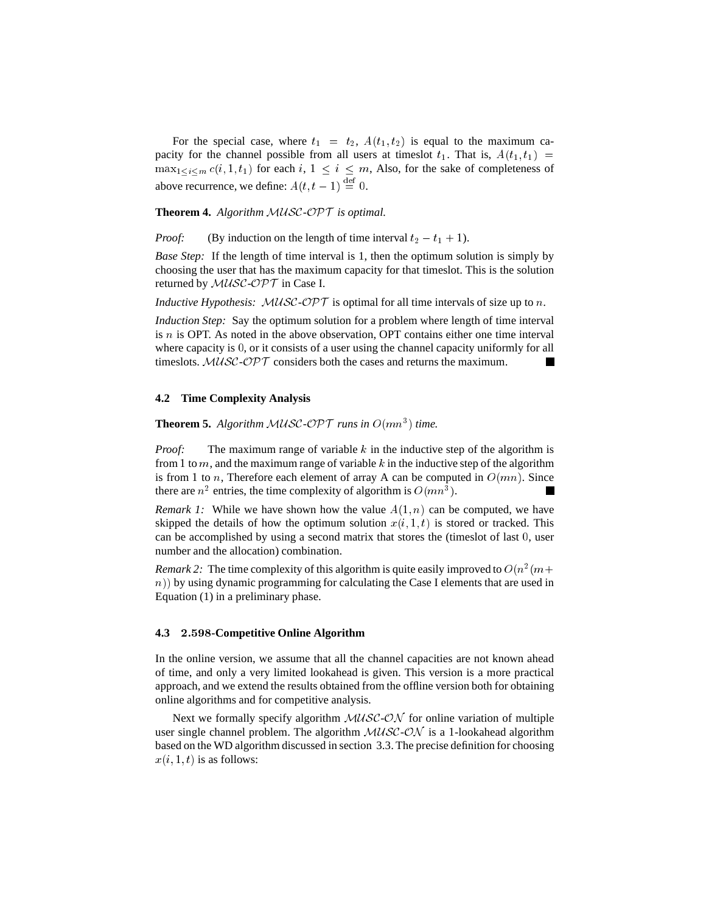For the special case, where  $t_1 = t_2$ ,  $A(t_1, t_2)$  is equal to the maximum capacity for the channel possible from all users at timeslot  $t_1$ . That is,  $A(t_1, t_1)$  =  $\max_{1 \leq i \leq m} c(i, 1, t_1)$  for each  $i, 1 \leq i \leq m$ , Also, for the sake of completeness of above recurrence, we define:  $A(t, t-1) \stackrel{\text{def}}{=} 0$ .

**Theorem 4.** *Algorithm* MUSC*-*OPT *is optimal.*

*Proof:* (By induction on the length of time interval  $t_2 - t_1 + 1$ ).

*Base Step:* If the length of time interval is 1, then the optimum solution is simply by choosing the user that has the maximum capacity for that timeslot. This is the solution returned by  $MUSC$ - $OPT$  in Case I.

*Inductive Hypothesis: MUSC-OPT* is optimal for all time intervals of size up to n.

*Induction Step:* Say the optimum solution for a problem where length of time interval is  $n$  is OPT. As noted in the above observation, OPT contains either one time interval where capacity is <sup>0</sup>, or it consists of a user using the channel capacity uniformly for all timeslots. MUSC-OPT considers both the cases and returns the maximum.

#### **4.2 Time Complexity Analysis**

**Theorem 5.** Algorithm MUSC-OPT runs in  $O(mn^3)$  time.

*Proof:* The maximum range of variable k in the inductive step of the algorithm is from 1 to  $m$ , and the maximum range of variable  $k$  in the inductive step of the algorithm is from 1 to n, Therefore each element of array A can be computed in  $O(mn)$ . Since there are  $n^2$  entries, the time complexity of algorithm is  $O(mn^3)$ .

*Remark 1:* While we have shown how the value  $A(1, n)$  can be computed, we have skipped the details of how the optimum solution  $x(i, 1, t)$  is stored or tracked. This can be accomplished by using a second matrix that stores the (timeslot of last <sup>0</sup>, user number and the allocation) combination.

*Remark 2*: The time complexity of this algorithm is quite easily improved to  $O(n^2(m +$  $n)$ ) by using dynamic programming for calculating the Case I elements that are used in Equation (1) in a preliminary phase.

#### **4.3** 2:598**-Competitive Online Algorithm**

In the online version, we assume that all the channel capacities are not known ahead of time, and only a very limited lookahead is given. This version is a more practical approach, and we extend the results obtained from the offline version both for obtaining online algorithms and for competitive analysis.

Next we formally specify algorithm  $MUSC-ON$  for online variation of multiple user single channel problem. The algorithm  $MUSC-ON$  is a 1-lookahead algorithm based on the WD algorithm discussed in section 3.3. The precise definition for choosing  $x(i, 1, t)$  is as follows: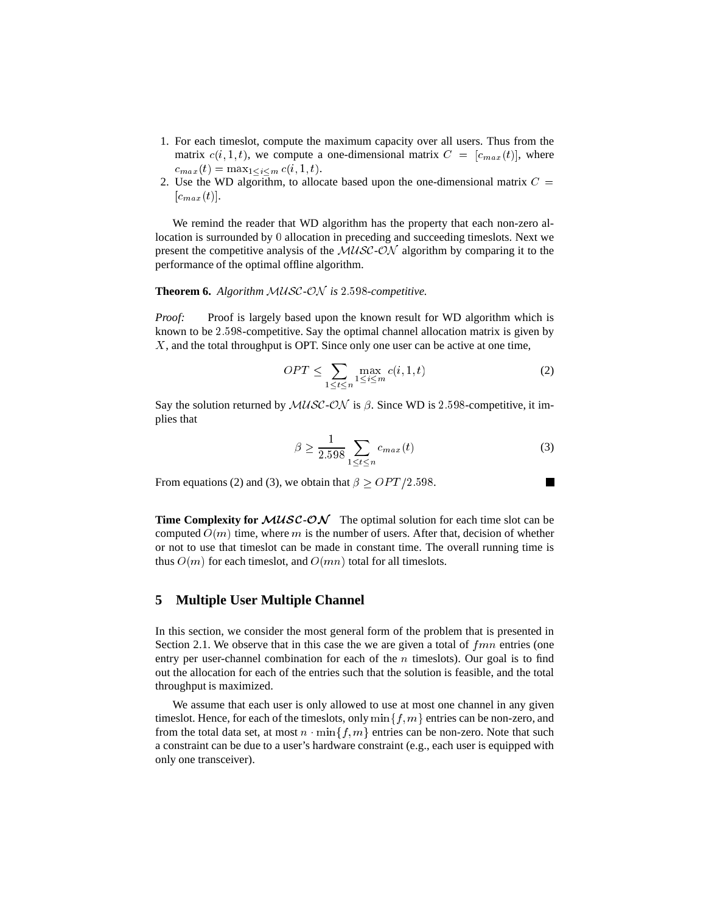- 1. For each timeslot, compute the maximum capacity over all users. Thus from the matrix  $c(i, 1, t)$ , we compute a one-dimensional matrix  $C = [c_{max}(t)]$ , where  $c_{max}(t) = \max_{1 \le i \le m} c(i, 1, t).$
- 2. Use the WD algorithm, to allocate based upon the one-dimensional matrix  $C =$  $[c_{max}(t)].$

We remind the reader that WD algorithm has the property that each non-zero allocation is surrounded by <sup>0</sup> allocation in preceding and succeeding timeslots. Next we present the competitive analysis of the  $MUSC-ON$  algorithm by comparing it to the performance of the optimal offline algorithm.

#### **Theorem 6.** *Algorithm* MUSC*-*ON *is* 2:598*-competitive.*

*Proof:* Proof is largely based upon the known result for WD algorithm which is known to be 2:598-competitive. Say the optimal channel allocation matrix is given by  $X$ , and the total throughput is OPT. Since only one user can be active at one time,

$$
OPT \le \sum_{1 \le t \le n} \max_{1 \le i \le m} c(i, 1, t) \tag{2}
$$

Say the solution returned by  $MUSC-ON$  is  $\beta$ . Since WD is 2.598-competitive, it implies that

$$
\beta \ge \frac{1}{2.598} \sum_{1 \le t \le n} c_{max}(t) \tag{3}
$$

П

From equations (2) and (3), we obtain that  $\beta > OPT/2.598$ .

**Time Complexity for**  $MUSC-ON$  The optimal solution for each time slot can be computed  $O(m)$  time, where m is the number of users. After that, decision of whether or not to use that timeslot can be made in constant time. The overall running time is thus  $O(m)$  for each timeslot, and  $O(mn)$  total for all timeslots.

## **5 Multiple User Multiple Channel**

In this section, we consider the most general form of the problem that is presented in Section 2.1. We observe that in this case the we are given a total of  $fmn$  entries (one entry per user-channel combination for each of the  $n$  timeslots). Our goal is to find out the allocation for each of the entries such that the solution is feasible, and the total throughput is maximized.

We assume that each user is only allowed to use at most one channel in any given timeslot. Hence, for each of the timeslots, only  $\min\{f, m\}$  entries can be non-zero, and from the total data set, at most  $n \text{ min}\lbrace f, m \rbrace$  entries can be non-zero. Note that such a constraint can be due to a user's hardware constraint (e.g., each user is equipped with only one transceiver).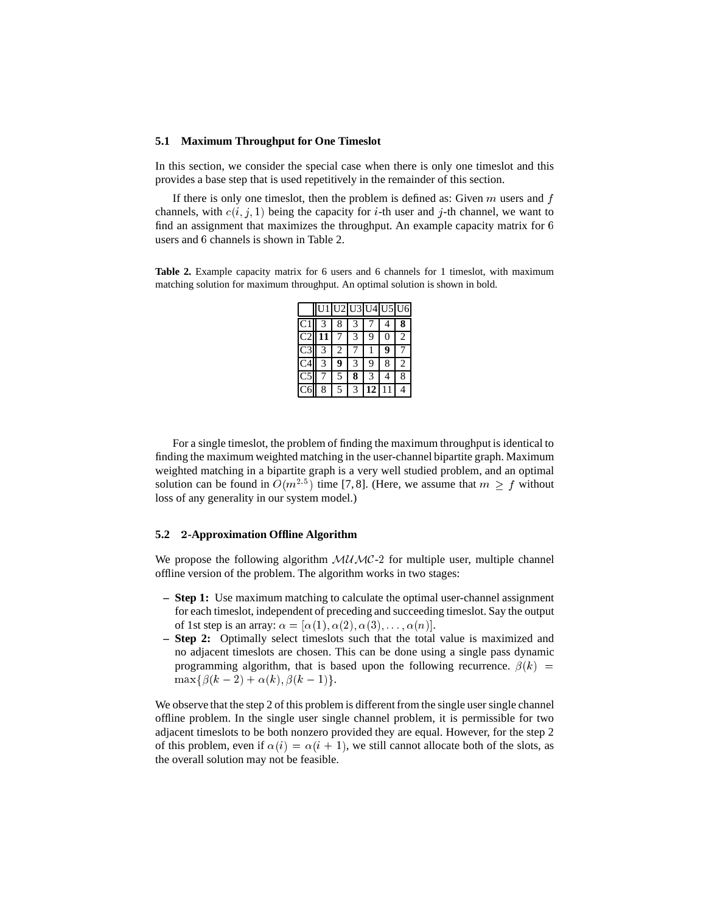#### **5.1 Maximum Throughput for One Timeslot**

In this section, we consider the special case when there is only one timeslot and this provides a base step that is used repetitively in the remainder of this section.

If there is only one timeslot, then the problem is defined as: Given  $m$  users and  $f$ channels, with  $c(i, j, 1)$  being the capacity for *i*-th user and *j*-th channel, we want to find an assignment that maximizes the throughput. An example capacity matrix for <sup>6</sup> users and <sup>6</sup> channels is shown in Table 2.

**Table 2.** Example capacity matrix for 6 users and 6 channels for 1 timeslot, with maximum matching solution for maximum throughput. An optimal solution is shown in bold.

|                 | U1 U2 U3 U4 U5 U6 |   |                |    |   |   |
|-----------------|-------------------|---|----------------|----|---|---|
| C <sub>1</sub>  | 3                 | 8 | 3              |    |   | 8 |
| C2              |                   |   | 3              | 9  | 0 | 2 |
| C <sub>3</sub>  | 3                 | 2 |                |    | 9 |   |
| $\overline{C}4$ | 3                 | 9 | 3              | 9  | 8 | 2 |
| C <sub>5</sub>  |                   | 5 | 8              | 3  |   | 8 |
| C6              | 8                 | 5 | $\overline{3}$ | 12 |   |   |

For a single timeslot, the problem of finding the maximum throughput is identical to finding the maximum weighted matching in the user-channel bipartite graph. Maximum weighted matching in a bipartite graph is a very well studied problem, and an optimal solution can be found in  $O(m^{2.5})$  time [7,8]. (Here, we assume that  $m \ge f$  without loss of any generality in our system model.)

#### **5.2** <sup>2</sup>**-Approximation Offline Algorithm**

We propose the following algorithm  $\mathcal{M} \mathcal{U} \mathcal{M} \mathcal{C}$ -2 for multiple user, multiple channel offline version of the problem. The algorithm works in two stages:

- **Step 1:** Use maximum matching to calculate the optimal user-channel assignment for each timeslot, independent of preceding and succeeding timeslot. Say the output of 1st step is an array:  $\alpha = [\alpha(1), \alpha(2), \alpha(3), \ldots, \alpha(n)].$
- **Step 2:** Optimally select timeslots such that the total value is maximized and no adjacent timeslots are chosen. This can be done using a single pass dynamic programming algorithm, that is based upon the following recurrence.  $\beta(k)$  =  $\max\{\beta(k-2) + \alpha(k), \beta(k-1)\}.$

We observe that the step 2 of this problem is different from the single user single channel offline problem. In the single user single channel problem, it is permissible for two adjacent timeslots to be both nonzero provided they are equal. However, for the step 2 of this problem, even if  $\alpha(i) = \alpha(i + 1)$ , we still cannot allocate both of the slots, as the overall solution may not be feasible.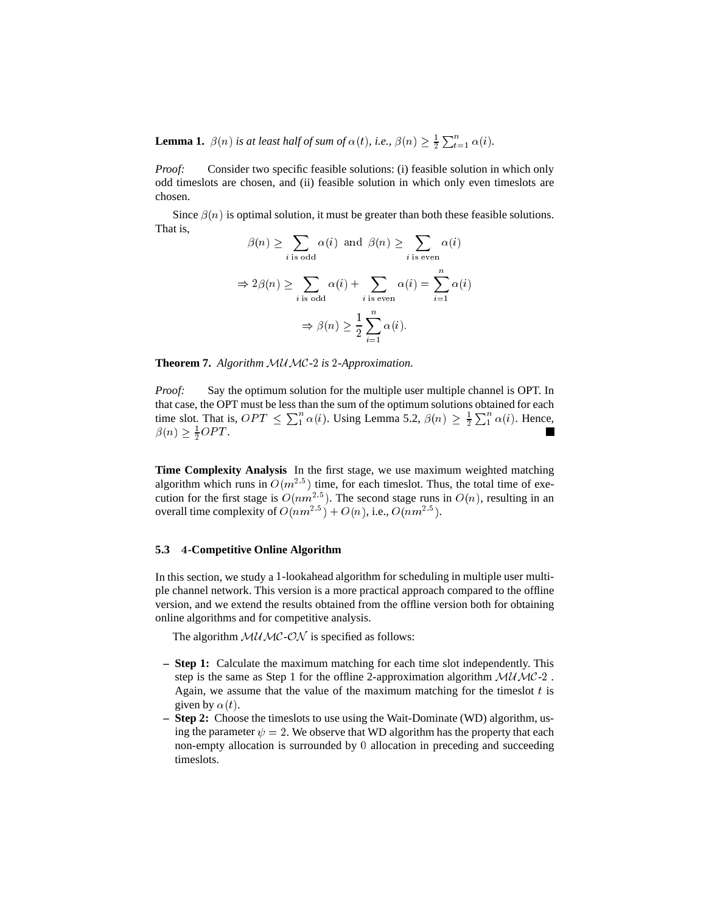**Lemma 1.**  $\beta(n)$  is at least half of sum of  $\alpha(t)$ , i.e.,  $\beta(n) \geq \frac{1}{2} \sum_{t=1}^{n} \alpha(i)$ .

*Proof:* Consider two specific feasible solutions: (i) feasible solution in which only odd timeslots are chosen, and (ii) feasible solution in which only even timeslots are chosen.

Since  $\beta(n)$  is optimal solution, it must be greater than both these feasible solutions. That is,

$$
\beta(n) \ge \sum_{i \text{ is odd}} \alpha(i) \text{ and } \beta(n) \ge \sum_{i \text{ is even}} \alpha(i)
$$

$$
\Rightarrow 2\beta(n) \ge \sum_{i \text{ is odd}} \alpha(i) + \sum_{i \text{ is even}} \alpha(i) = \sum_{i=1}^{n} \alpha(i)
$$

$$
\Rightarrow \beta(n) \ge \frac{1}{2} \sum_{i=1}^{n} \alpha(i).
$$

**Theorem 7.** *Algorithm* MUMC*-*<sup>2</sup> *is* <sup>2</sup>*-Approximation.*

*Proof:* Say the optimum solution for the multiple user multiple channel is OPT. In that case, the OPT must be less than the sum of the optimum solutions obtained for each time slot. That is,  $OPT \leq \sum_{i=1}^{n} \alpha(i)$ . Using Lemma 5.2,  $\beta(n) \geq \frac{1}{2} \sum_{i=1}^{n} \alpha(i)$ . Hence, Г  $\beta(n) \geq \frac{1}{2}OPT$ .

**Time Complexity Analysis** In the first stage, we use maximum weighted matching algorithm which runs in  $O(m^{2.5})$  time, for each timeslot. Thus, the total time of execution for the first stage is  $O(nm^{2.5})$ . The second stage runs in  $O(n)$ , resulting in an overall time complexity of  $O(nm^{2.5}) + O(n)$ , i.e.,  $O(nm^{2.5})$ .

#### **5.3** <sup>4</sup>**-Competitive Online Algorithm**

In this section, we study a <sup>1</sup>-lookahead algorithm for scheduling in multiple user multiple channel network. This version is a more practical approach compared to the offline version, and we extend the results obtained from the offline version both for obtaining online algorithms and for competitive analysis.

The algorithm  $MUMC-ON$  is specified as follows:

- **Step 1:** Calculate the maximum matching for each time slot independently. This step is the same as Step 1 for the offline 2-approximation algorithm  $MUMC-2$ . Again, we assume that the value of the maximum matching for the timeslot  $t$  is given by  $\alpha(t)$ .
- **Step 2:** Choose the timeslots to use using the Wait-Dominate (WD) algorithm, using the parameter  $\psi = 2$ . We observe that WD algorithm has the property that each non-empty allocation is surrounded by <sup>0</sup> allocation in preceding and succeeding timeslots.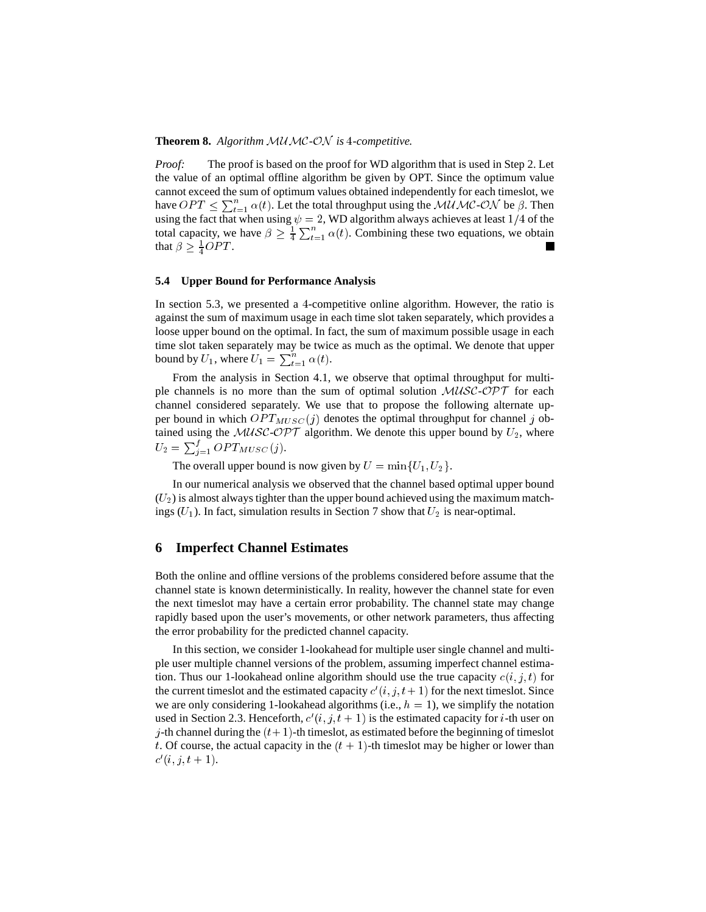**Theorem 8.** *Algorithm* MUMC*-*ON *is* <sup>4</sup>*-competitive.*

*Proof:* The proof is based on the proof for WD algorithm that is used in Step 2. Let the value of an optimal offline algorithm be given by OPT. Since the optimum value cannot exceed the sum of optimum values obtained independently for each timeslot, we have  $OPT \leq \sum_{t=1}^{n} \alpha(t)$ . Let the total throughput using the MUMC-ON be  $\beta$ . Then using the fact that when using  $\psi = 2$ , WD algorithm always achieves at least 1/4 of the total capacity, we have  $\beta \geq \frac{1}{4} \sum_{t=1}^{n} \alpha(t)$ . Combining these two equations, we obtain  $\overline{\phantom{a}}$ that  $\beta \geq \frac{1}{4}OPT$ .

# **5.4 Upper Bound for Performance Analysis**

In section 5.3, we presented a <sup>4</sup>-competitive online algorithm. However, the ratio is against the sum of maximum usage in each time slot taken separately, which provides a loose upper bound on the optimal. In fact, the sum of maximum possible usage in each time slot taken separately may be twice as much as the optimal. We denote that upper bound by  $U_1$ , where  $U_1 = \sum_{t=1}^n \alpha(t)$ .

From the analysis in Section 4.1, we observe that optimal throughput for multiple channels is no more than the sum of optimal solution  $MUSC-OPT$  for each channel considered separately. We use that to propose the following alternate upper bound in which  $OPT_{MUSC}(j)$  denotes the optimal throughput for channel j obtained using the  $MUSC$ - $OPT$  algorithm. We denote this upper bound by  $U_2$ , where  $U_2 = \sum_{i=1}^{J} OPT_{MUSC}(j).$ 

The overall upper bound is now given by  $U = \min\{U_1, U_2\}.$ 

In our numerical analysis we observed that the channel based optimal upper bound  $(U_2)$  is almost always tighter than the upper bound achieved using the maximum matchings  $(U_1)$ . In fact, simulation results in Section 7 show that  $U_2$  is near-optimal.

### **6 Imperfect Channel Estimates**

Both the online and offline versions of the problems considered before assume that the channel state is known deterministically. In reality, however the channel state for even the next timeslot may have a certain error probability. The channel state may change rapidly based upon the user's movements, or other network parameters, thus affecting the error probability for the predicted channel capacity.

In this section, we consider 1-lookahead for multiple user single channel and multiple user multiple channel versions of the problem, assuming imperfect channel estimation. Thus our 1-lookahead online algorithm should use the true capacity  $c(i, j, t)$  for the current timeslot and the estimated capacity  $c'(i, j, t+1)$  for the next timeslot. Since we are only considering 1-lookahead algorithms (i.e.,  $h = 1$ ), we simplify the notation used in Section 2.3. Henceforth,  $c'(i, j, t + 1)$  is the estimated capacity for *i*-th user on j-th channel during the  $(t+1)$ -th timeslot, as estimated before the beginning of timeslot t. Of course, the actual capacity in the  $(t + 1)$ -th timeslot may be higher or lower than  $c'(i, j, t + 1).$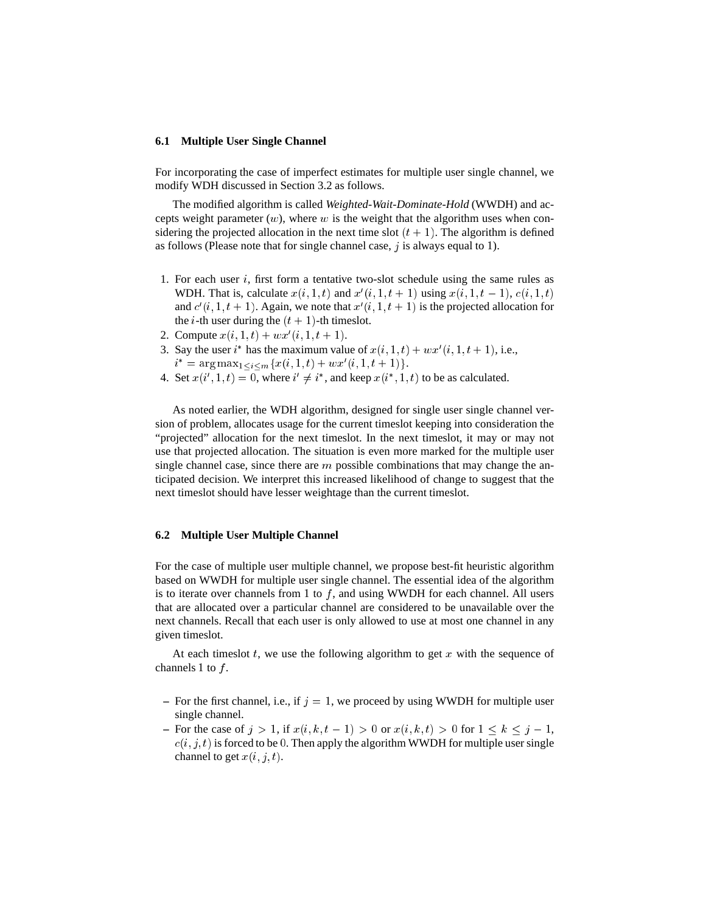#### **6.1 Multiple User Single Channel**

For incorporating the case of imperfect estimates for multiple user single channel, we modify WDH discussed in Section 3.2 as follows.

The modified algorithm is called *Weighted-Wait-Dominate-Hold* (WWDH) and accepts weight parameter  $(w)$ , where w is the weight that the algorithm uses when considering the projected allocation in the next time slot  $(t + 1)$ . The algorithm is defined as follows (Please note that for single channel case,  $j$  is always equal to 1).

- 1. For each user <sup>i</sup>, first form a tentative two-slot schedule using the same rules as WDH. That is, calculate  $x(i, 1, t)$  and  $x'(i, 1, t + 1)$  using  $x(i, 1, t - 1)$ ,  $c(i, 1, t)$ and  $c'(i, 1, t + 1)$ . Again, we note that  $x'(i, 1, t + 1)$  is the projected allocation for the *i*-th user during the  $(t + 1)$ -th timeslot.
- 2. Compute  $x(i, 1, t) + wx'(i, 1, t + 1)$ .
- 3. Say the user  $i^*$  has the maximum value of  $x(i, 1, t) + wx'(i, 1, t + 1)$ , i.e.,  $i^* = \arg \max_{1 \le i \le m} \{x(i, 1, t) + wx'(i, 1, t + 1)\}.$
- 4. Set  $x(i', 1, t) = 0$ , where  $i' \neq i^*$ , and keep  $x(i^*, 1, t)$  to be as calculated.

As noted earlier, the WDH algorithm, designed for single user single channel version of problem, allocates usage for the current timeslot keeping into consideration the "projected" allocation for the next timeslot. In the next timeslot, it may or may not use that projected allocation. The situation is even more marked for the multiple user single channel case, since there are  $m$  possible combinations that may change the anticipated decision. We interpret this increased likelihood of change to suggest that the next timeslot should have lesser weightage than the current timeslot.

#### **6.2 Multiple User Multiple Channel**

For the case of multiple user multiple channel, we propose best-fit heuristic algorithm based on WWDH for multiple user single channel. The essential idea of the algorithm is to iterate over channels from 1 to  $f$ , and using WWDH for each channel. All users that are allocated over a particular channel are considered to be unavailable over the next channels. Recall that each user is only allowed to use at most one channel in any given timeslot.

At each timeslot  $t$ , we use the following algorithm to get  $x$  with the sequence of channels 1 to  $f$ .

- $-$  For the first channel, i.e., if  $j = 1$ , we proceed by using WWDH for multiple user single channel.
- **–** For the case of  $j > 1$ , if  $x(i, k, t 1) > 0$  or  $x(i, k, t) > 0$  for  $1 \le k \le j 1$ ,  $c(i, j, t)$  is forced to be 0. Then apply the algorithm WWDH for multiple user single channel to get  $x(i, j, t)$ .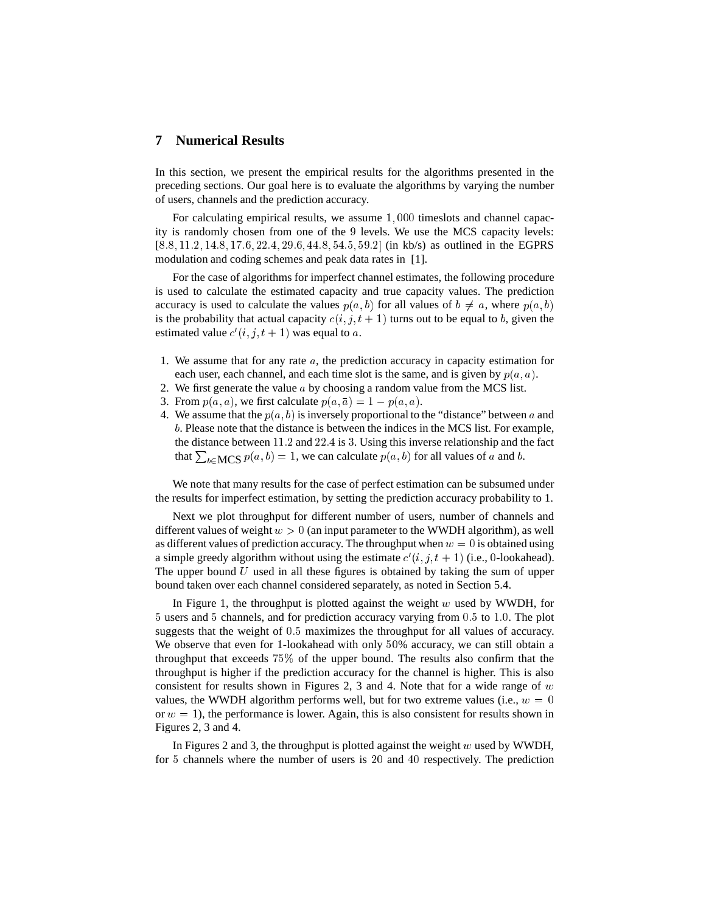# **7 Numerical Results**

In this section, we present the empirical results for the algorithms presented in the preceding sections. Our goal here is to evaluate the algorithms by varying the number of users, channels and the prediction accuracy.

For calculating empirical results, we assume 1; <sup>000</sup> timeslots and channel capacity is randomly chosen from one of the <sup>9</sup> levels. We use the MCS capacity levels:  $[8.8, 11.2, 14.8, 17.6, 22.4, 29.6, 44.8, 54.5, 59.2]$  (in kb/s) as outlined in the EGPRS modulation and coding schemes and peak data rates in [1].

For the case of algorithms for imperfect channel estimates, the following procedure is used to calculate the estimated capacity and true capacity values. The prediction accuracy is used to calculate the values  $p(a, b)$  for all values of  $b \neq a$ , where  $p(a, b)$ is the probability that actual capacity  $c(i, j, t + 1)$  turns out to be equal to b, given the estimated value  $c'(i, j, t + 1)$  was equal to a.

- 1. We assume that for any rate <sup>a</sup>, the prediction accuracy in capacity estimation for each user, each channel, and each time slot is the same, and is given by  $p(a, a)$ .
- 2. We first generate the value  $\alpha$  by choosing a random value from the MCS list.
- 3. From  $p(a, a)$ , we first calculate  $p(a, \bar{a}) = 1 p(a, a)$ .
- 4. We assume that the  $p(a, b)$  is inversely proportional to the "distance" between a and b. Please note that the distance is between the indices in the MCS list. For example, the distance between 11:2 and 22:4 is <sup>3</sup>. Using this inverse relationship and the fact that  $\sum_{b \in \text{MCS}} p(a, b) = 1$ , we can calculate  $p(a, b)$  for all values of a and b.

We note that many results for the case of perfect estimation can be subsumed under the results for imperfect estimation, by setting the prediction accuracy probability to 1.

Next we plot throughput for different number of users, number of channels and different values of weight  $w > 0$  (an input parameter to the WWDH algorithm), as well as different values of prediction accuracy. The throughput when  $w = 0$  is obtained using a simple greedy algorithm without using the estimate  $c'(i, j, t + 1)$  (i.e., 0-lookahead). The upper bound  $U$  used in all these figures is obtained by taking the sum of upper bound taken over each channel considered separately, as noted in Section 5.4.

In Figure 1, the throughput is plotted against the weight  $w$  used by WWDH, for 5 users and <sup>5</sup> channels, and for prediction accuracy varying from 0:5 to 1:0. The plot suggests that the weight of 0:5 maximizes the throughput for all values of accuracy. We observe that even for <sup>1</sup>-lookahead with only <sup>50</sup>% accuracy, we can still obtain a throughput that exceeds 75% of the upper bound. The results also confirm that the throughput is higher if the prediction accuracy for the channel is higher. This is also consistent for results shown in Figures 2, 3 and 4. Note that for a wide range of  $w$ values, the WWDH algorithm performs well, but for two extreme values (i.e.,  $w = 0$ or  $w = 1$ ), the performance is lower. Again, this is also consistent for results shown in Figures 2, 3 and 4.

In Figures 2 and 3, the throughput is plotted against the weight  $w$  used by WWDH, for <sup>5</sup> channels where the number of users is <sup>20</sup> and <sup>40</sup> respectively. The prediction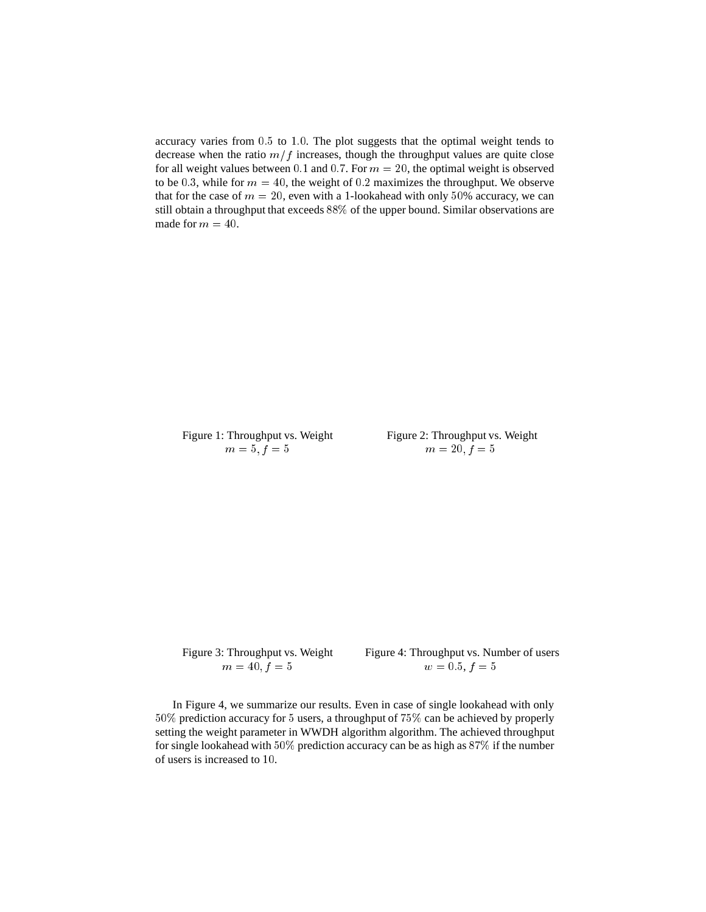accuracy varies from 0.5 to 1.0. The plot suggests that the optimal weight tends to decrease when the ratio  $m/f$  increases, though the throughput values are quite close for all weight values between 0.1 and 0.7. For  $m = 20$ , the optimal weight is observed to be 0.3, while for  $m = 40$ , the weight of 0.2 maximizes the throughput. We observe that for the case of  $m = 20$ , even with a 1-lookahead with only 50% accuracy, we can still obtain a throughput that exceeds 88% of the upper bound. Similar observations are made for  $m = 40$ .

Figure 1: Throughput vs. Weight Figure 2: Throughput vs. Weight  $m = 5, f = 5$   $m = 20, f = 5$ 

| Figure 3: Throughput vs. Weight | Figure 4: Throughput vs. Number of users |
|---------------------------------|------------------------------------------|
| $m = 40, f = 5$                 | $w = 0.5, f = 5$                         |

In Figure 4, we summarize our results. Even in case of single lookahead with only 50% prediction accuracy for <sup>5</sup> users, a throughput of 75% can be achieved by properly setting the weight parameter in WWDH algorithm algorithm. The achieved throughput for single lookahead with 50% prediction accuracy can be as high as 87% if the number of users is increased to <sup>10</sup>.